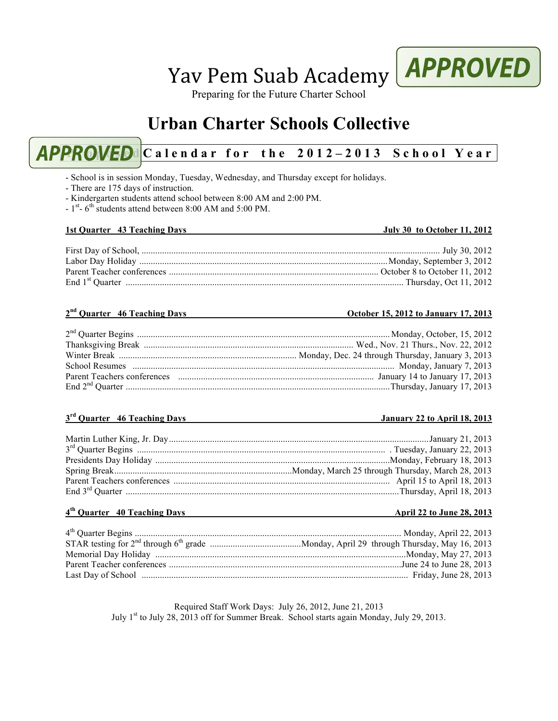# Yav Pem Suab Academy

Preparing for the Future Charter School

# **Urban Charter Schools Collective**

# **APPROVED** Calendar for the 2012-2013 School Year

- School is in session Monday, Tuesday, Wednesday, and Thursday except for holidays.

- There are 175 days of instruction.
- Kindergarten students attend school between 8:00 AM and 2:00 PM.
- $1<sup>st</sup>$  6<sup>th</sup> students attend between 8:00 AM and 5:00 PM.

### **1st Quarter 43 Teaching Days July 30 to October 11, 2012**

#### First Day of School, ................................................................................................................................... July 30, 2012 Labor Day Holiday .............................................................................................................Monday, September 3, 2012 Parent Teacher conferences ............................................................................................ October 8 to October 11, 2012 End 1st Quarter .......................................................................................................................... Thursday, Oct 11, 2012

#### **2nd Quarter 46 Teaching Days October 15, 2012 to January 17, 2013**

#### 2nd Quarter Begins ............................................................................................................... Monday, October, 15, 2012 Thanksgiving Break ............................................................................................ Wed., Nov. 21 Thurs., Nov. 22, 2012 Winter Break .............................................................................. Monday, Dec. 24 through Thursday, January 3, 2013 School Resumes ................................................................................................................... Monday, January 7, 2013 Parent Teachers conferences ...................................................................................... January 14 to January 17, 2013 End 2nd Quarter ....................................................................................................................Thursday, January 17, 2013

#### **3rd Quarter 46 Teaching Days January 22 to April 18, 2013**

#### **4th Quarter 40 Teaching Days April 22 to June 28, 2013**

Required Staff Work Days: July 26, 2012, June 21, 2013 July 1st to July 28, 2013 off for Summer Break. School starts again Monday, July 29, 2013.

# **APPROVED**